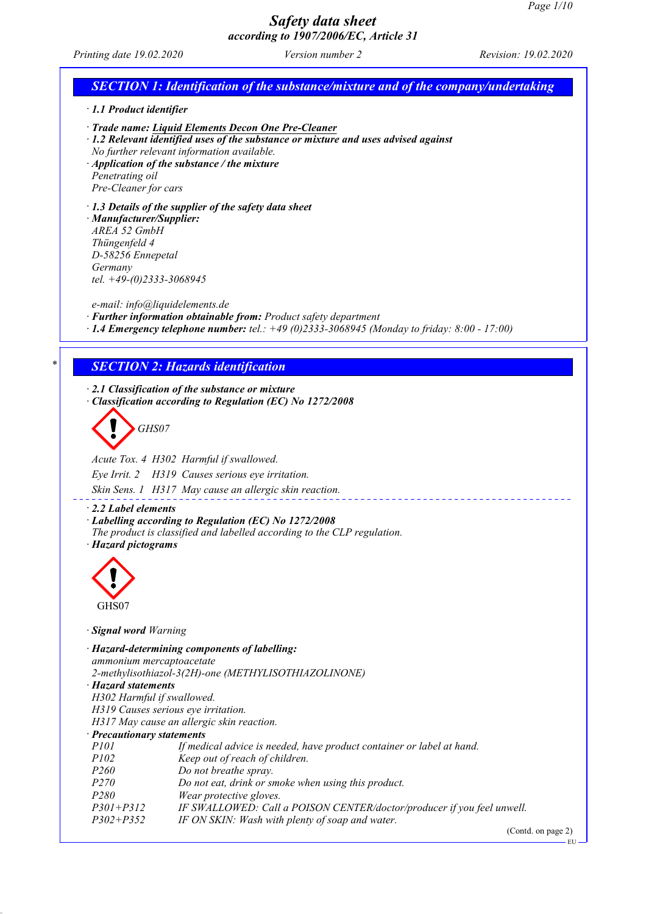# *Safety data sheet*

|                                                                                                                                                                            | according to 1907/2006/EC, Article 31                                                                                                                                                                                                                                                  |                      |
|----------------------------------------------------------------------------------------------------------------------------------------------------------------------------|----------------------------------------------------------------------------------------------------------------------------------------------------------------------------------------------------------------------------------------------------------------------------------------|----------------------|
| Printing date 19.02.2020                                                                                                                                                   | Version number 2                                                                                                                                                                                                                                                                       | Revision: 19.02.2020 |
|                                                                                                                                                                            | <b>SECTION 1: Identification of the substance/mixture and of the company/undertaking</b>                                                                                                                                                                                               |                      |
| $\cdot$ 1.1 Product identifier                                                                                                                                             |                                                                                                                                                                                                                                                                                        |                      |
| Penetrating oil<br>Pre-Cleaner for cars                                                                                                                                    | Trade name: Liquid Elements Decon One Pre-Cleaner<br>· 1.2 Relevant identified uses of the substance or mixture and uses advised against<br>No further relevant information available.<br>$\cdot$ Application of the substance / the mixture                                           |                      |
| · Manufacturer/Supplier:<br>AREA 52 GmbH<br>Thüngenfeld 4<br>D-58256 Ennepetal<br>Germany<br>tel. $+49-(0)2333-3068945$                                                    | $\cdot$ 1.3 Details of the supplier of the safety data sheet                                                                                                                                                                                                                           |                      |
| e-mail: info@liquidelements.de                                                                                                                                             | · Further information obtainable from: Product safety department<br>$\cdot$ 1.4 Emergency telephone number; tel.: +49 (0)2333-3068945 (Monday to friday: 8:00 - 17:00)                                                                                                                 |                      |
|                                                                                                                                                                            | <b>SECTION 2: Hazards identification</b>                                                                                                                                                                                                                                               |                      |
| GHS07<br>Eye Irrit. 2                                                                                                                                                      | Classification according to Regulation (EC) No 1272/2008<br>Acute Tox. 4 H302 Harmful if swallowed.<br>H319 Causes serious eye irritation.<br>Skin Sens. 1 H317 May cause an allergic skin reaction.                                                                                   |                      |
| $\cdot$ 2.2 Label elements<br>· Hazard pictograms                                                                                                                          | Labelling according to Regulation (EC) No 1272/2008<br>The product is classified and labelled according to the CLP regulation.                                                                                                                                                         |                      |
| GHS07                                                                                                                                                                      |                                                                                                                                                                                                                                                                                        |                      |
| · Signal word Warning                                                                                                                                                      |                                                                                                                                                                                                                                                                                        |                      |
| ammonium mercaptoacetate<br>· Hazard statements<br>H302 Harmful if swallowed.<br>H319 Causes serious eye irritation.<br>· Precautionary statements<br>P101<br>P102<br>P260 | · Hazard-determining components of labelling:<br>2-methylisothiazol-3(2H)-one (METHYLISOTHIAZOLINONE)<br>H317 May cause an allergic skin reaction.<br>If medical advice is needed, have product container or label at hand.<br>Keep out of reach of children.<br>Do not breathe spray. |                      |
| P270<br>P280<br>$P301 + P312$                                                                                                                                              | Do not eat, drink or smoke when using this product.<br>Wear protective gloves.<br>IF SWALLOWED: Call a POISON CENTER/doctor/producer if you feel unwell.                                                                                                                               |                      |

*P302+P352 IF ON SKIN: Wash with plenty of soap and water.*

(Contd. on page 2)

 $-EU$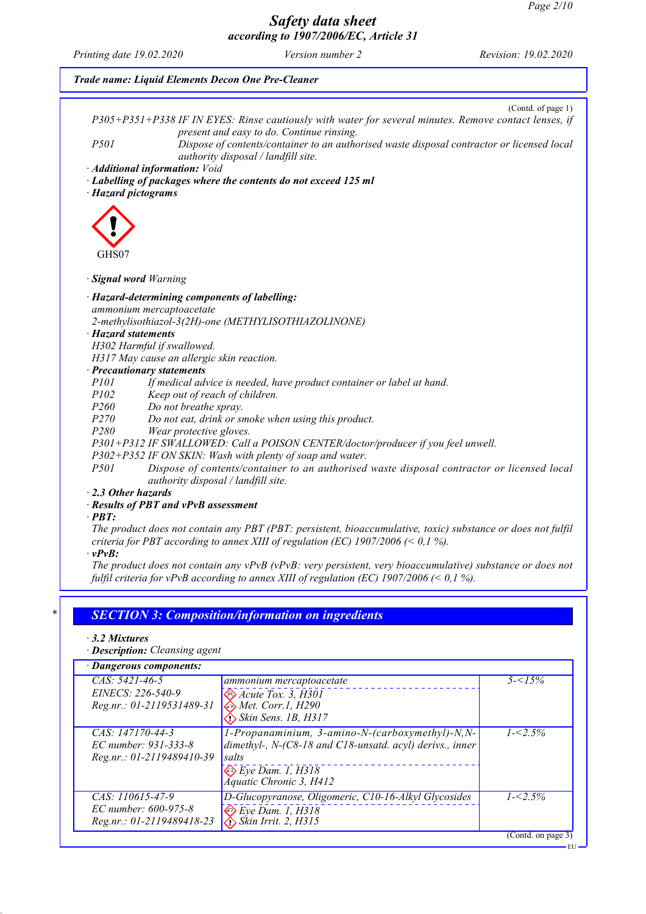|                            | (Contd. of page 1)<br>P305+P351+P338 IF IN EYES: Rinse cautiously with water for several minutes. Remove contact lenses, if             |
|----------------------------|-----------------------------------------------------------------------------------------------------------------------------------------|
| P501                       | present and easy to do. Continue rinsing.<br>Dispose of contents/container to an authorised waste disposal contractor or licensed local |
|                            | authority disposal / landfill site.<br>· Additional information: Void                                                                   |
| · Hazard pictograms        | · Labelling of packages where the contents do not exceed 125 ml                                                                         |
|                            |                                                                                                                                         |
|                            |                                                                                                                                         |
|                            |                                                                                                                                         |
| GHS07                      |                                                                                                                                         |
| · Signal word Warning      |                                                                                                                                         |
|                            | · Hazard-determining components of labelling:                                                                                           |
|                            | ammonium mercaptoacetate                                                                                                                |
|                            | 2-methylisothiazol-3(2H)-one (METHYLISOTHIAZOLINONE)                                                                                    |
| $\cdot$ Hazard statements  |                                                                                                                                         |
|                            | H302 Harmful if swallowed.<br>H317 May cause an allergic skin reaction.                                                                 |
| · Precautionary statements |                                                                                                                                         |
| P101                       | If medical advice is needed, have product container or label at hand.                                                                   |
| P102                       | Keep out of reach of children.                                                                                                          |
| P260                       | Do not breathe spray.                                                                                                                   |
| P270                       | Do not eat, drink or smoke when using this product.                                                                                     |
| P280                       | Wear protective gloves.                                                                                                                 |
|                            | P301+P312 IF SWALLOWED: Call a POISON CENTER/doctor/producer if you feel unwell.                                                        |
|                            | P302+P352 IF ON SKIN: Wash with plenty of soap and water.                                                                               |
| P501                       | Dispose of contents/container to an authorised waste disposal contractor or licensed local<br>authority disposal / landfill site.       |
| $\cdot$ 2.3 Other hazards  |                                                                                                                                         |
|                            | · Results of PBT and vPvB assessment                                                                                                    |
| $\cdot$ PBT:               |                                                                                                                                         |
|                            | The product does not contain any PBT (PBT: persistent, bioaccumulative, toxic) substance or does not fulfil                             |
|                            | criteria for PBT according to annex XIII of regulation (EC) $1907/2006 \le 0.1\%$ ).                                                    |
| $\cdot$ vPvB:              | The product does not contain any $vPvB$ ( $vPvB$ : very persistent, very bioaccumulative) substance or does not                         |
|                            | fulfil criteria for vPvB according to annex XIII of regulation (EC) 1907/2006 (< 0,1 %).                                                |
|                            |                                                                                                                                         |

| · Dangerous components:   |                                                                      |                    |
|---------------------------|----------------------------------------------------------------------|--------------------|
| $CAS: 5421-46-5$          | ammonium mercaptoacetate                                             | $5 - 15\%$         |
| EINECS: 226-540-9         | $\leftrightarrow$ Acute Tox. 3, H301                                 |                    |
| Reg.nr.: 01-2119531489-31 | $\Leftrightarrow$ Met. Corr.1, H290                                  |                    |
|                           | $\bigotimes$ Skin Sens. 1B, H317                                     |                    |
| CAS: 147170-44-3          | 1-Propanaminium, 3-amino-N-(carboxymethyl)-N,N-                      | $1 - 2.5\%$        |
| EC number: 931-333-8      | dimethyl-, N-(C8-18 and C18-unsatd. acyl) derivs., inner             |                    |
| Reg.nr.: 01-2119489410-39 | salts                                                                |                    |
|                           | $\leftrightarrow$ Eye Dam. 1, H318<br><b>Áquatic Chronic 3, H412</b> |                    |
|                           |                                                                      |                    |
| $CAS: 110615-47-9$        | D-Glucopyranose, Oligomeric, C10-16-Alkyl Glycosides                 | $1 - 5\%$          |
| EC number: 600-975-8      | $\otimes$ Eye Dam. 1, H318                                           |                    |
| Reg.nr.: 01-2119489418-23 | $\bigotimes$ Skin Irrit. 2, H315                                     |                    |
|                           |                                                                      | (Contd. on page 3) |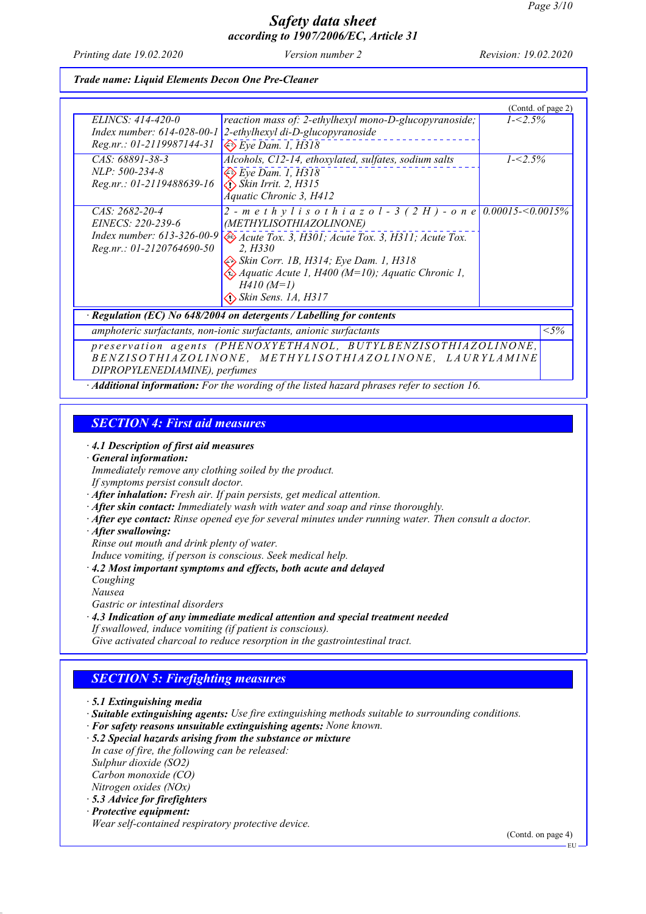*Printing date 19.02.2020 Version number 2 Revision: 19.02.2020*

#### *Trade name: Liquid Elements Decon One Pre-Cleaner*

|                                                                      |                                                                        | (Contd. of page 2) |  |
|----------------------------------------------------------------------|------------------------------------------------------------------------|--------------------|--|
| ELINCS: 414-420-0                                                    | reaction mass of: 2-ethylhexyl mono-D-glucopyranoside;                 | $1 - 2.5\%$        |  |
| Index number: $614-028-00-1$                                         | 2-ethylhexyl di-D-glucopyranoside                                      |                    |  |
| Reg.nr.: 01-2119987144-31                                            | $\diamondsuit$ Eye Dam. 1, H318                                        |                    |  |
| CAS: 68891-38-3                                                      | Alcohols, C12-14, ethoxylated, sulfates, sodium salts                  | $1 - 2.5\%$        |  |
| $NLP: 500-234-8$                                                     | $\Leftrightarrow$ Eye Dam. 1, H318                                     |                    |  |
| Reg.nr.: 01-2119488639-16                                            | $\diamond$ Skin Irrit. 2, H315                                         |                    |  |
|                                                                      | Aquatic Chronic 3, H412                                                |                    |  |
| $CAS: 2682-20-4$                                                     | 2 - m e t h y l i s o t h i a z o l - 3 (2 H) - o n e 0.00015-<0.0015% |                    |  |
| EINECS: 220-239-6                                                    | (METHYLISOTHIAZOLINONE)                                                |                    |  |
| Index number: $613-326-00-9$                                         | Acute Tox. 3, H301; Acute Tox. 3, H311; Acute Tox.                     |                    |  |
| $Reg.nr.: 01-2120764690-50$                                          | 2. H330                                                                |                    |  |
|                                                                      | <i>Skin Corr. 1B, H314; Eye Dam. 1, H318</i>                           |                    |  |
|                                                                      | $\Leftrightarrow$ Aquatic Acute 1, H400 (M=10); Aquatic Chronic 1,     |                    |  |
|                                                                      | $H410(M=1)$                                                            |                    |  |
|                                                                      | $\bigotimes$ Skin Sens. 1A, H317                                       |                    |  |
| · Regulation (EC) No 648/2004 on detergents / Labelling for contents |                                                                        |                    |  |
|                                                                      | amphoteric surfactants, non-ionic surfactants, anionic surfactants     | $< 5\%$            |  |
| preservation agents (PHENOXYETHANOL, BUTYLBENZISOTHIAZOLINONE,       |                                                                        |                    |  |
| BENZISOTHIAZOLINONE, METHYLISOTHIAZOLINONE, LAURYLAMINE              |                                                                        |                    |  |
| DIPROPYLENEDIAMINE), perfumes                                        |                                                                        |                    |  |

*· Additional information: For the wording of the listed hazard phrases refer to section 16.*

### *SECTION 4: First aid measures*

*· 4.1 Description of first aid measures*

#### *· General information:*

*Immediately remove any clothing soiled by the product.*

- *If symptoms persist consult doctor.*
- *· After inhalation: Fresh air. If pain persists, get medical attention.*
- *· After skin contact: Immediately wash with water and soap and rinse thoroughly.*
- *· After eye contact: Rinse opened eye for several minutes under running water. Then consult a doctor.*
- *· After swallowing:*
- *Rinse out mouth and drink plenty of water.*

*Induce vomiting, if person is conscious. Seek medical help.*

- *· 4.2 Most important symptoms and effects, both acute and delayed*
- *Coughing*
- *Nausea*

*Gastric or intestinal disorders*

*· 4.3 Indication of any immediate medical attention and special treatment needed If swallowed, induce vomiting (if patient is conscious). Give activated charcoal to reduce resorption in the gastrointestinal tract.*

### *SECTION 5: Firefighting measures*

- *· Suitable extinguishing agents: Use fire extinguishing methods suitable to surrounding conditions.*
- *· For safety reasons unsuitable extinguishing agents: None known.*
- *· 5.2 Special hazards arising from the substance or mixture*
- *In case of fire, the following can be released: Sulphur dioxide (SO2) Carbon monoxide (CO) Nitrogen oxides (NOx)*
- *· 5.3 Advice for firefighters · Protective equipment:*
- *Wear self-contained respiratory protective device.*

(Contd. on page 4)

EU

*<sup>·</sup> 5.1 Extinguishing media*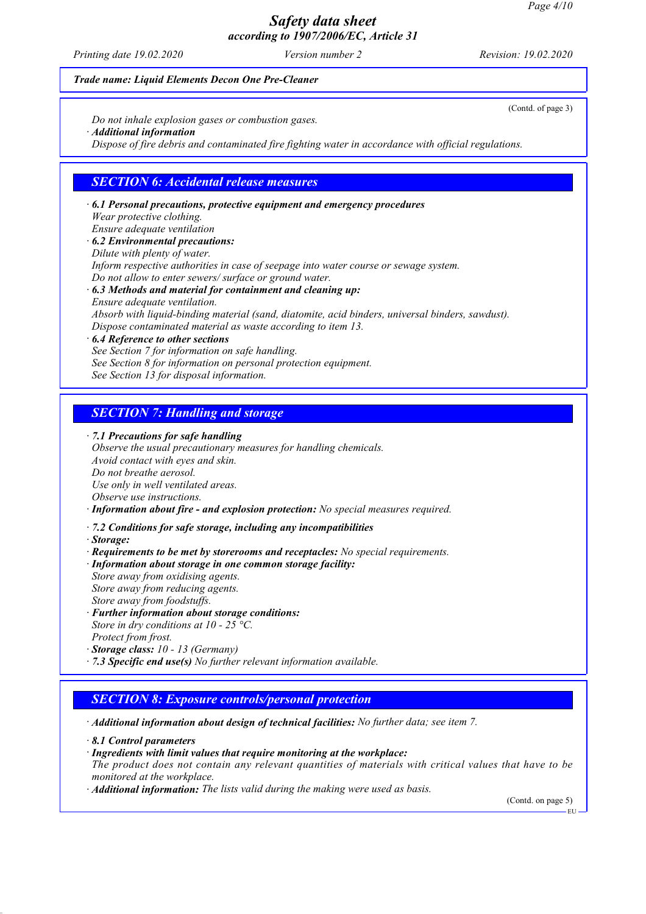*Printing date 19.02.2020 Version number 2 Revision: 19.02.2020*

#### *Trade name: Liquid Elements Decon One Pre-Cleaner*

*Do not inhale explosion gases or combustion gases.*

*· Additional information*

*Dispose of fire debris and contaminated fire fighting water in accordance with official regulations.*

### *SECTION 6: Accidental release measures*

*· 6.1 Personal precautions, protective equipment and emergency procedures Wear protective clothing. Ensure adequate ventilation*

- *· 6.2 Environmental precautions: Dilute with plenty of water. Inform respective authorities in case of seepage into water course or sewage system. Do not allow to enter sewers/ surface or ground water. · 6.3 Methods and material for containment and cleaning up:*
- *Ensure adequate ventilation. Absorb with liquid-binding material (sand, diatomite, acid binders, universal binders, sawdust). Dispose contaminated material as waste according to item 13.*

*· 6.4 Reference to other sections*

- *See Section 7 for information on safe handling.*
- *See Section 8 for information on personal protection equipment.*
- *See Section 13 for disposal information.*

### *SECTION 7: Handling and storage*

*· 7.1 Precautions for safe handling*

*Observe the usual precautionary measures for handling chemicals. Avoid contact with eyes and skin. Do not breathe aerosol. Use only in well ventilated areas. Observe use instructions. · Information about fire - and explosion protection: No special measures required.*

- 
- *· 7.2 Conditions for safe storage, including any incompatibilities*
- *· Storage:*
- *· Requirements to be met by storerooms and receptacles: No special requirements.*
- *· Information about storage in one common storage facility:*
- *Store away from oxidising agents. Store away from reducing agents. Store away from foodstuffs.*
- *· Further information about storage conditions: Store in dry conditions at 10 - 25 °C. Protect from frost.*
- *· Storage class: 10 13 (Germany)*
- *· 7.3 Specific end use(s) No further relevant information available.*

### *SECTION 8: Exposure controls/personal protection*

*· Additional information about design of technical facilities: No further data; see item 7.*

*· 8.1 Control parameters*

*· Ingredients with limit values that require monitoring at the workplace:*

*The product does not contain any relevant quantities of materials with critical values that have to be monitored at the workplace.*

*· Additional information: The lists valid during the making were used as basis.*

(Contd. on page 5)

EU

(Contd. of page 3)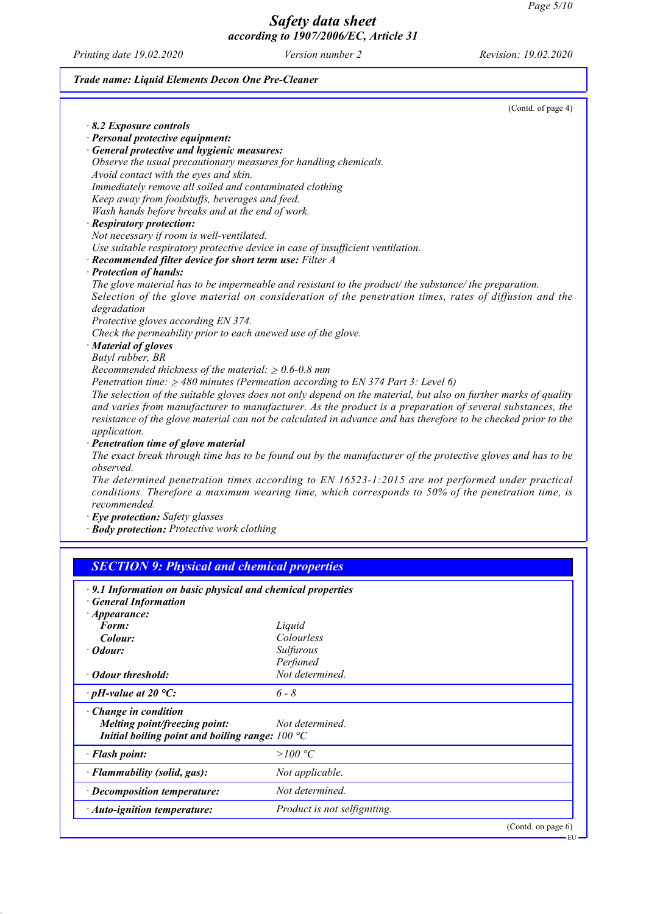EU

# *Safety data sheet according to 1907/2006/EC, Article 31*

*Printing date 19.02.2020 Version number 2 Revision: 19.02.2020*

### *Trade name: Liquid Elements Decon One Pre-Cleaner*

|                                                                                                                 | (Contd. of page 4) |
|-----------------------------------------------------------------------------------------------------------------|--------------------|
| 8.2 Exposure controls                                                                                           |                    |
| · Personal protective equipment:                                                                                |                    |
| · General protective and hygienic measures:                                                                     |                    |
| Observe the usual precautionary measures for handling chemicals.                                                |                    |
| Avoid contact with the eyes and skin.                                                                           |                    |
| Immediately remove all soiled and contaminated clothing                                                         |                    |
| Keep away from foodstuffs, beverages and feed.                                                                  |                    |
| Wash hands before breaks and at the end of work.                                                                |                    |
| · Respiratory protection:                                                                                       |                    |
| Not necessary if room is well-ventilated.                                                                       |                    |
| Use suitable respiratory protective device in case of insufficient ventilation.                                 |                    |
| · Recommended filter device for short term use: Filter A                                                        |                    |
| · Protection of hands:                                                                                          |                    |
| The glove material has to be impermeable and resistant to the product/the substance/the preparation.            |                    |
| Selection of the glove material on consideration of the penetration times, rates of diffusion and the           |                    |
| degradation                                                                                                     |                    |
| Protective gloves according EN 374.                                                                             |                    |
| Check the permeability prior to each anewed use of the glove.                                                   |                    |
| · Material of gloves                                                                                            |                    |
| Butyl rubber, BR                                                                                                |                    |
| Recommended thickness of the material: $\geq 0.6$ -0.8 mm                                                       |                    |
| Penetration time: $\geq$ 480 minutes (Permeation according to EN 374 Part 3: Level 6)                           |                    |
| The selection of the suitable gloves does not only depend on the material, but also on further marks of quality |                    |
| and varies from manufacturer to manufacturer. As the product is a preparation of several substances, the        |                    |
| resistance of the glove material can not be calculated in advance and has therefore to be checked prior to the  |                    |
| application.                                                                                                    |                    |
| · Penetration time of glove material                                                                            |                    |
| The exact break through time has to be found out by the manufacturer of the protective gloves and has to be     |                    |
| observed.                                                                                                       |                    |
| The determined penetration times according to EN 16523-1:2015 are not performed under practical                 |                    |
| conditions. Therefore a maximum wearing time, which corresponds to 50% of the penetration time, is              |                    |
| recommended.                                                                                                    |                    |
| · Eye protection: Safety glasses                                                                                |                    |
| · Body protection: Protective work clothing                                                                     |                    |
|                                                                                                                 |                    |
|                                                                                                                 |                    |
| <b>SECTION 9: Physical and chemical properties</b>                                                              |                    |
|                                                                                                                 |                    |

| · 9.1 Information on basic physical and chemical properties |                              |
|-------------------------------------------------------------|------------------------------|
| · General Information                                       |                              |
| $\cdot$ Appearance:                                         |                              |
| Form:                                                       | Liquid                       |
| Colour:                                                     | Colourless                   |
| · Odour:                                                    | Sulfurous                    |
|                                                             | Perfumed                     |
| • Odour threshold:                                          | Not determined.              |
| $\cdot$ pH-value at 20 °C:                                  | $6 - 8$                      |
| $\cdot$ Change in condition                                 |                              |
| Melting point/freezing point:                               | Not determined.              |
| Initial boiling point and boiling range: $100^{\circ}$ C    |                              |
| · Flash point:                                              | >100 °C                      |
| · Flammability (solid, gas):                                | Not applicable.              |
| $\cdot$ Decomposition temperature:                          | Not determined.              |
| · Auto-ignition temperature:                                | Product is not selfigniting. |
|                                                             | (Contd. on page 6)           |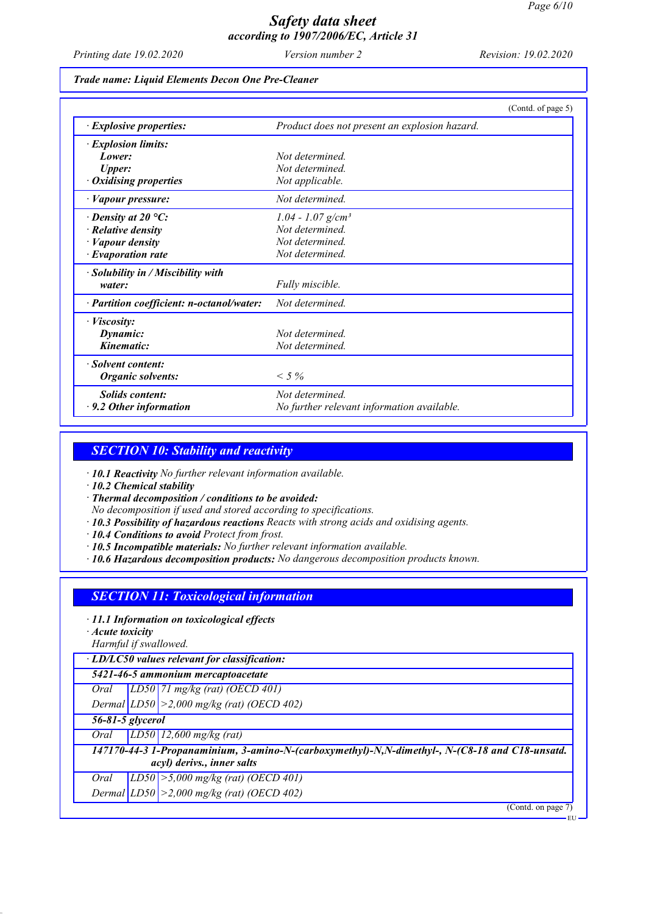*Printing date 19.02.2020 Version number 2 Revision: 19.02.2020*

#### *Trade name: Liquid Elements Decon One Pre-Cleaner*

|                                           | (Contd. of page 5)                            |
|-------------------------------------------|-----------------------------------------------|
| $\cdot$ Explosive properties:             | Product does not present an explosion hazard. |
| · Explosion limits:                       |                                               |
| Lower:                                    | Not determined                                |
| <b>Upper:</b>                             | Not determined                                |
| $\cdot$ Oxidising properties              | Not applicable.                               |
| · Vapour pressure:                        | Not determined.                               |
| $\cdot$ Density at 20 °C:                 | $1.04 - 1.07$ g/cm <sup>3</sup>               |
| $\cdot$ Relative density                  | Not determined.                               |
| $\cdot$ <i>Vapour density</i>             | Not determined.                               |
| $\cdot$ Evaporation rate                  | Not determined.                               |
| $\cdot$ Solubility in / Miscibility with  |                                               |
| water:                                    | Fully miscible.                               |
| · Partition coefficient: n-octanol/water: | Not determined.                               |
| · Viscosity:                              |                                               |
| Dynamic:                                  | Not determined.                               |
| Kinematic:                                | Not determined.                               |
| · Solvent content:                        |                                               |
| Organic solvents:                         | $< 5\%$                                       |
| <b>Solids content:</b>                    | Not determined.                               |
| $\cdot$ 9.2 Other information             | No further relevant information available.    |

### *SECTION 10: Stability and reactivity*

*· 10.1 Reactivity No further relevant information available.*

*· 10.2 Chemical stability*

*· Thermal decomposition / conditions to be avoided:*

*No decomposition if used and stored according to specifications.*

*· 10.3 Possibility of hazardous reactions Reacts with strong acids and oxidising agents.*

*· 10.4 Conditions to avoid Protect from frost.*

- *· 10.5 Incompatible materials: No further relevant information available.*
- *· 10.6 Hazardous decomposition products: No dangerous decomposition products known.*

### *SECTION 11: Toxicological information*

*· 11.1 Information on toxicological effects*

*· Acute toxicity*

*Harmful if swallowed.*

*· LD/LC50 values relevant for classification:*

*5421-46-5 ammonium mercaptoacetate*

*Oral LD50 71 mg/kg (rat) (OECD 401)*

*Dermal LD50 >2,000 mg/kg (rat) (OECD 402)*

*56-81-5 glycerol*

*Oral LD50 12,600 mg/kg (rat)*

*147170-44-3 1-Propanaminium, 3-amino-N-(carboxymethyl)-N,N-dimethyl-, N-(C8-18 and C18-unsatd. acyl) derivs., inner salts*

*Oral LD50 >5,000 mg/kg (rat) (OECD 401) Dermal LD50 >2,000 mg/kg (rat) (OECD 402)*

(Contd. on page)

EU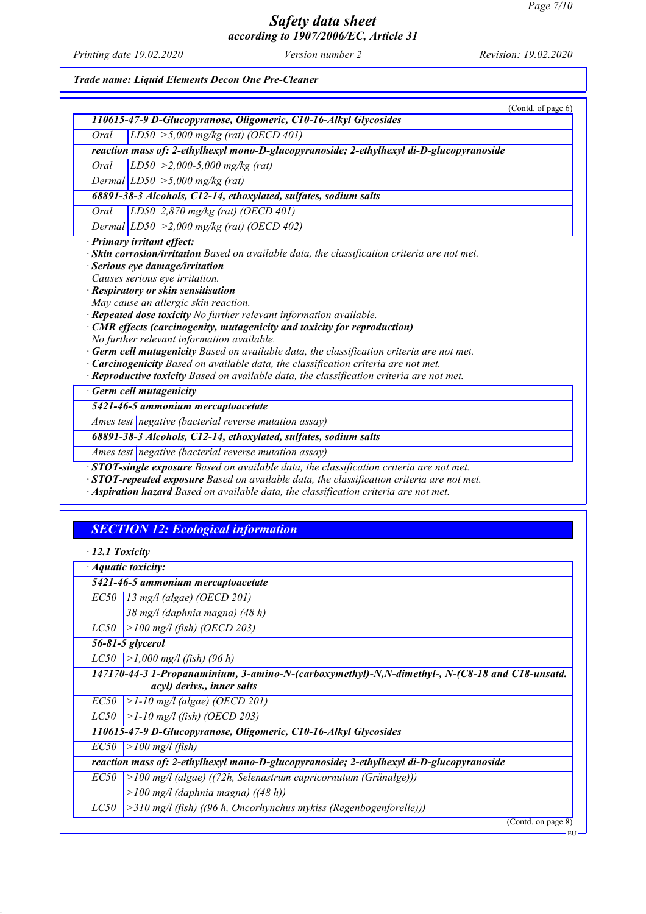*Printing date 19.02.2020 Version number 2 Revision: 19.02.2020*

*Trade name: Liquid Elements Decon One Pre-Cleaner*

|                            | (Contd. of page 6)                                                                               |
|----------------------------|--------------------------------------------------------------------------------------------------|
|                            | 110615-47-9 D-Glucopyranose, Oligomeric, C10-16-Alkyl Glycosides                                 |
| Oral                       | $LD50$ > 5,000 mg/kg (rat) (OECD 401)                                                            |
|                            | reaction mass of: 2-ethylhexyl mono-D-glucopyranoside; 2-ethylhexyl di-D-glucopyranoside         |
| Oral                       | $LD50 \ge 2,000-5,000$ mg/kg (rat)                                                               |
|                            | Dermal $ LD50  > 5,000$ mg/kg (rat)                                                              |
|                            | 68891-38-3 Alcohols, C12-14, ethoxylated, sulfates, sodium salts                                 |
| Oral                       | LD50 2,870 mg/kg (rat) (OECD 401)                                                                |
|                            | Dermal $ LD50  > 2,000$ mg/kg (rat) (OECD 402)                                                   |
| · Primary irritant effect: |                                                                                                  |
|                            | · Skin corrosion/irritation Based on available data, the classification criteria are not met.    |
|                            | · Serious eye damage/irritation                                                                  |
|                            | Causes serious eye irritation.                                                                   |
|                            | · Respiratory or skin sensitisation                                                              |
|                            | May cause an allergic skin reaction.                                                             |
|                            | · Repeated dose toxicity No further relevant information available.                              |
|                            | · CMR effects (carcinogenity, mutagenicity and toxicity for reproduction)                        |
|                            | No further relevant information available.                                                       |
|                            | $\cdot$ Germ cell mutagenicity Based on available data, the classification criteria are not met. |
|                            | · Carcinogenicity Based on available data, the classification criteria are not met.              |
|                            | · Reproductive toxicity Based on available data, the classification criteria are not met.        |
|                            | · Germ cell mutagenicity                                                                         |
|                            | 5421-46-5 ammonium mercaptoacetate                                                               |
|                            | Ames test negative (bacterial reverse mutation assay)                                            |
|                            | 68891-38-3 Alcohols, C12-14, ethoxylated, sulfates, sodium salts                                 |
|                            | Ames test negative (bacterial reverse mutation assay)                                            |
|                            | $\cdot$ STOT-single exposure Based on available data, the classification criteria are not met.   |
|                            | · STOT-repeated exposure Based on available data, the classification criteria are not met.       |
|                            | · Aspiration hazard Based on available data, the classification criteria are not met.            |

# *SECTION 12: Ecological information*

|      | · Aquatic toxicity:                                                                            |
|------|------------------------------------------------------------------------------------------------|
|      | 5421-46-5 ammonium mercaptoacetate                                                             |
|      | $EC50$ 13 mg/l (algae) (OECD 201)                                                              |
|      | 38 mg/l (daphnia magna) (48 h)                                                                 |
| LC50 | >100 mg/l (fish) (OECD 203)                                                                    |
|      | 56-81-5 glycerol                                                                               |
| LC50 | >1,000 mg/l (fish) (96 h)                                                                      |
|      | 147170-44-3 1-Propanaminium, 3-amino-N-(carboxymethyl)-N,N-dimethyl-, N-(C8-18 and C18-unsatd. |
|      | acyl) derivs., inner salts                                                                     |
| EC50 | >1-10 mg/l (algae) (OECD 201)                                                                  |
| LC50 | >1-10 mg/l (fish) (OECD 203)                                                                   |
|      | 110615-47-9 D-Glucopyranose, Oligomeric, C10-16-Alkyl Glycosides                               |
| EC50 | $\vert$ > 100 mg/l (fish)                                                                      |
|      | reaction mass of: 2-ethylhexyl mono-D-glucopyranoside; 2-ethylhexyl di-D-glucopyranoside       |
| EC50 | $ >100$ mg/l (algae) ((72h, Selenastrum capricornutum (Grünalge)))                             |
|      | $>100$ mg/l (daphnia magna) ((48 h))                                                           |
| LC50 | $\geq$ 310 mg/l (fish) ((96 h, Oncorhynchus mykiss (Regenbogenforelle)))                       |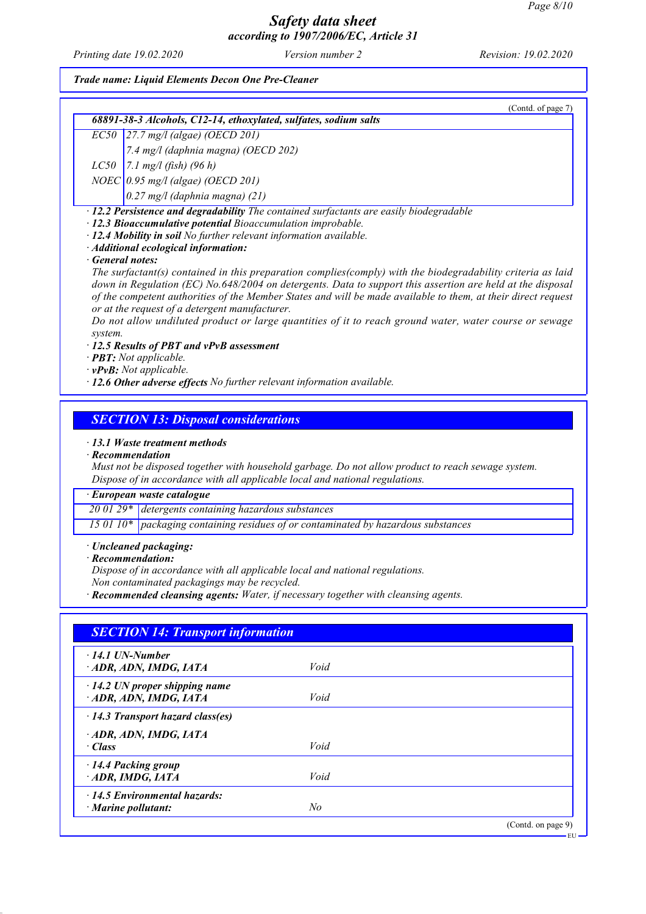*Printing date 19.02.2020 Version number 2 Revision: 19.02.2020*

#### *Trade name: Liquid Elements Decon One Pre-Cleaner*

|         | (Contd. of page 7)                                                                                                                                                                                                                                                                                                                                                                                                                                                                                     |
|---------|--------------------------------------------------------------------------------------------------------------------------------------------------------------------------------------------------------------------------------------------------------------------------------------------------------------------------------------------------------------------------------------------------------------------------------------------------------------------------------------------------------|
|         | 68891-38-3 Alcohols, C12-14, ethoxylated, sulfates, sodium salts                                                                                                                                                                                                                                                                                                                                                                                                                                       |
|         | $EC50$ 27.7 mg/l (algae) (OECD 201)                                                                                                                                                                                                                                                                                                                                                                                                                                                                    |
|         | 7.4 mg/l (daphnia magna) (OECD 202)                                                                                                                                                                                                                                                                                                                                                                                                                                                                    |
|         | $LC50$   7.1 mg/l (fish) (96 h)                                                                                                                                                                                                                                                                                                                                                                                                                                                                        |
|         | $NOEC$ 0.95 mg/l (algae) (OECD 201)                                                                                                                                                                                                                                                                                                                                                                                                                                                                    |
|         | $0.27$ mg/l (daphnia magna) (21)                                                                                                                                                                                                                                                                                                                                                                                                                                                                       |
|         | $\cdot$ 12.4 Mobility in soil No further relevant information available.<br>· Additional ecological information:<br>· General notes:                                                                                                                                                                                                                                                                                                                                                                   |
| system. | The surfactant(s) contained in this preparation complies(comply) with the biodegradability criteria as laid<br>down in Regulation (EC) No.648/2004 on detergents. Data to support this assertion are held at the disposal<br>of the competent authorities of the Member States and will be made available to them, at their direct request<br>or at the request of a detergent manufacturer.<br>Do not allow undiluted product or large quantities of it to reach ground water, water course or sewage |

*· 12.5 Results of PBT and vPvB assessment*

*· PBT: Not applicable.*

*· vPvB: Not applicable.*

*· 12.6 Other adverse effects No further relevant information available.*

### *SECTION 13: Disposal considerations*

#### *· 13.1 Waste treatment methods*

#### *· Recommendation*

*Must not be disposed together with household garbage. Do not allow product to reach sewage system. Dispose of in accordance with all applicable local and national regulations.*

*· European waste catalogue*

*20 01 29\* detergents containing hazardous substances*

*15 01 10\* packaging containing residues of or contaminated by hazardous substances*

#### *· Uncleaned packaging:*

### *· Recommendation:*

*Dispose of in accordance with all applicable local and national regulations.*

*Non contaminated packagings may be recycled.*

*· Recommended cleansing agents: Water, if necessary together with cleansing agents.*

| $\cdot$ 14.1 UN-Number                  |      |  |
|-----------------------------------------|------|--|
| ADR, ADN, IMDG, IATA                    | Void |  |
| $\cdot$ 14.2 UN proper shipping name    |      |  |
| ADR, ADN, IMDG, IATA                    | Void |  |
| $\cdot$ 14.3 Transport hazard class(es) |      |  |
| ADR, ADN, IMDG, IATA                    |      |  |
| · Class                                 | Void |  |
| · 14.4 Packing group                    |      |  |
| ADR, IMDG, IATA                         | Void |  |
| $\cdot$ 14.5 Environmental hazards:     |      |  |
| $\cdot$ Marine pollutant:               | No   |  |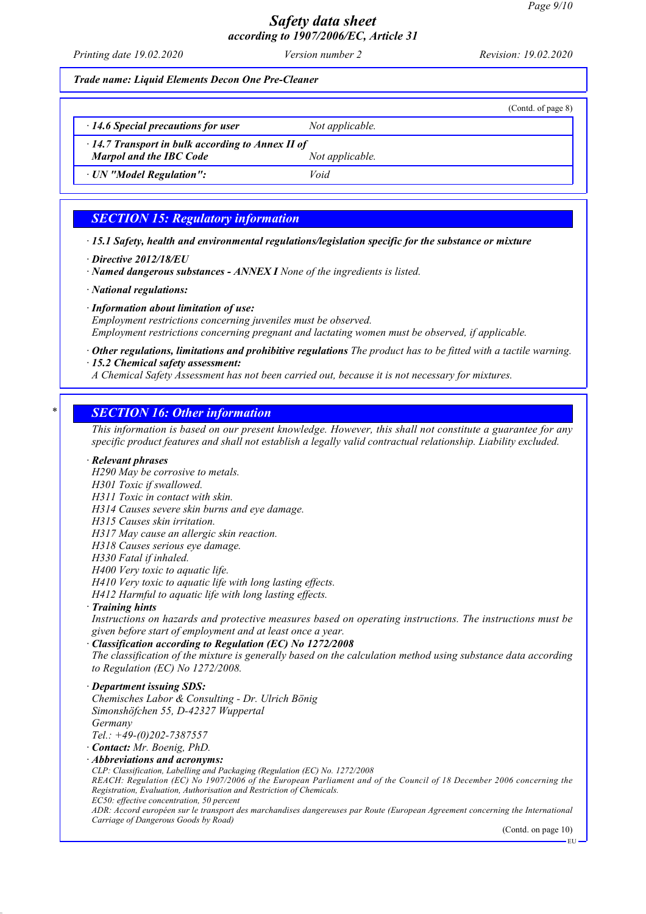*Printing date 19.02.2020 Version number 2 Revision: 19.02.2020*

*Trade name: Liquid Elements Decon One Pre-Cleaner*

(Contd. of page 8) *· 14.6 Special precautions for user Not applicable. · 14.7 Transport in bulk according to Annex II of Marpol and the IBC Code Not applicable. · UN "Model Regulation": Void*

### *SECTION 15: Regulatory information*

*· 15.1 Safety, health and environmental regulations/legislation specific for the substance or mixture*

*· Directive 2012/18/EU*

*· Named dangerous substances - ANNEX I None of the ingredients is listed.*

*· National regulations:*

*· Information about limitation of use:*

*Employment restrictions concerning juveniles must be observed. Employment restrictions concerning pregnant and lactating women must be observed, if applicable.*

*· Other regulations, limitations and prohibitive regulations The product has to be fitted with a tactile warning. · 15.2 Chemical safety assessment:*

*A Chemical Safety Assessment has not been carried out, because it is not necessary for mixtures.*

### *\* SECTION 16: Other information*

*This information is based on our present knowledge. However, this shall not constitute a guarantee for any specific product features and shall not establish a legally valid contractual relationship. Liability excluded.*

#### *· Relevant phrases*

*H290 May be corrosive to metals.*

*H301 Toxic if swallowed.*

*H311 Toxic in contact with skin.*

*H314 Causes severe skin burns and eye damage.*

*H315 Causes skin irritation.*

*H317 May cause an allergic skin reaction.*

*H318 Causes serious eye damage.*

*H330 Fatal if inhaled.*

*H400 Very toxic to aquatic life.*

*H410 Very toxic to aquatic life with long lasting effects.*

*H412 Harmful to aquatic life with long lasting effects.*

*· Training hints*

*Instructions on hazards and protective measures based on operating instructions. The instructions must be given before start of employment and at least once a year.*

*· Classification according to Regulation (EC) No 1272/2008*

*The classification of the mixture is generally based on the calculation method using substance data according to Regulation (EC) No 1272/2008.*

*· Department issuing SDS:*

*Chemisches Labor & Consulting - Dr. Ulrich Bönig Simonshöfchen 55, D-42327 Wuppertal Germany Tel.: +49-(0)202-7387557*

*· Contact: Mr. Boenig, PhD.*

*· Abbreviations and acronyms:*

*CLP: Classification, Labelling and Packaging (Regulation (EC) No. 1272/2008*

*REACH: Regulation (EC) No 1907/2006 of the European Parliament and of the Council of 18 December 2006 concerning the Registration, Evaluation, Authorisation and Restriction of Chemicals.*

*EC50: effective concentration, 50 percent*

*ADR: Accord européen sur le transport des marchandises dangereuses par Route (European Agreement concerning the International Carriage of Dangerous Goods by Road)*

(Contd. on page 10)

EU